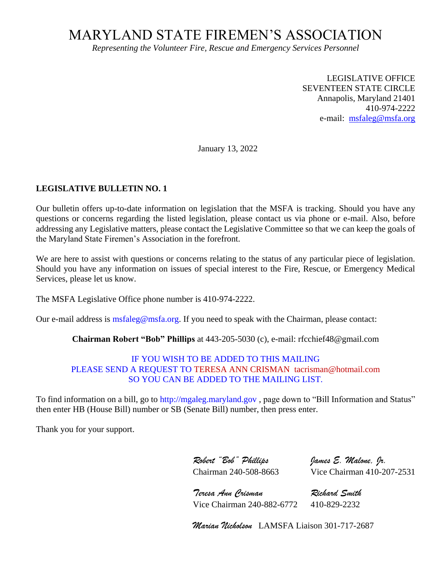# MARYLAND STATE FIREMEN'S ASSOCIATION

*Representing the Volunteer Fire, Rescue and Emergency Services Personnel*

LEGISLATIVE OFFICE SEVENTEEN STATE CIRCLE Annapolis, Maryland 21401 410-974-2222 e-mail: [msfaleg@msfa.org](mailto:msfaleg@msfa.org)

January 13, 2022

## **LEGISLATIVE BULLETIN NO. 1**

Our bulletin offers up-to-date information on legislation that the MSFA is tracking. Should you have any questions or concerns regarding the listed legislation, please contact us via phone or e-mail. Also, before addressing any Legislative matters, please contact the Legislative Committee so that we can keep the goals of the Maryland State Firemen's Association in the forefront.

We are here to assist with questions or concerns relating to the status of any particular piece of legislation. Should you have any information on issues of special interest to the Fire, Rescue, or Emergency Medical Services, please let us know.

The MSFA Legislative Office phone number is 410-974-2222.

Our e-mail address is [msfaleg@msfa.org.](mailto:msfaleg@msfa.org) If you need to speak with the Chairman, please contact:

**Chairman Robert "Bob" Phillips** at 443-205-5030 (c), e-mail: rfcchief48@gmail.com

## IF YOU WISH TO BE ADDED TO THIS MAILING PLEASE SEND A REQUEST TO TERESA ANN CRISMAN tacrisman@hotmail.com SO YOU CAN BE ADDED TO THE MAILING LIST.

To find information on a bill, go to [http://mgaleg.maryland.gov](http://mgaleg.maryland.gov/) , page down to "Bill Information and Status" then enter HB (House Bill) number or SB (Senate Bill) number, then press enter.

Thank you for your support.

*Robert "Bob" Phillips James E. Malone, Jr.* 

Chairman 240-508-8663 Vice Chairman 410-207-2531

*Teresa Ann Crisman Richard Smith*  Vice Chairman 240-882-6772 410-829-2232

*Marian Nicholson* LAMSFA Liaison 301-717-2687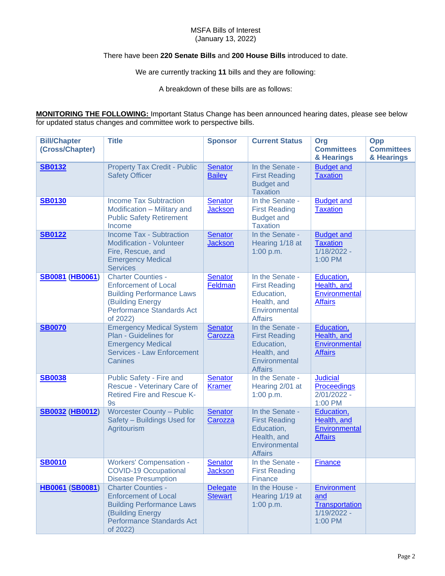### MSFA Bills of Interest (January 13, 2022)

### There have been **220 Senate Bills** and **200 House Bills** introduced to date.

We are currently tracking **11** bills and they are following:

A breakdown of these bills are as follows:

**MONITORING THE FOLLOWING:** Important Status Change has been announced hearing dates, please see below for updated status changes and committee work to perspective bills.

| <b>Bill/Chapter</b><br>(Cross/Chapter) | <b>Title</b>                                                                                                                                              | <b>Sponsor</b>                    | <b>Current Status</b>                                                                                   | Org<br><b>Committees</b><br>& Hearings                                         | Opp<br><b>Committees</b><br>& Hearings |
|----------------------------------------|-----------------------------------------------------------------------------------------------------------------------------------------------------------|-----------------------------------|---------------------------------------------------------------------------------------------------------|--------------------------------------------------------------------------------|----------------------------------------|
| <b>SB0132</b>                          | <b>Property Tax Credit - Public</b><br><b>Safety Officer</b>                                                                                              | <b>Senator</b><br><b>Bailey</b>   | In the Senate -<br><b>First Reading</b><br><b>Budget and</b><br><b>Taxation</b>                         | <b>Budget and</b><br><b>Taxation</b>                                           |                                        |
| <b>SB0130</b>                          | <b>Income Tax Subtraction</b><br>Modification - Military and<br><b>Public Safety Retirement</b><br>Income                                                 | <b>Senator</b><br><b>Jackson</b>  | In the Senate -<br><b>First Reading</b><br><b>Budget and</b><br><b>Taxation</b>                         | <b>Budget and</b><br><b>Taxation</b>                                           |                                        |
| <b>SB0122</b>                          | <b>Income Tax - Subtraction</b><br><b>Modification - Volunteer</b><br>Fire, Rescue, and<br><b>Emergency Medical</b><br><b>Services</b>                    | <b>Senator</b><br><b>Jackson</b>  | In the Senate -<br>Hearing 1/18 at<br>1:00 p.m.                                                         | <b>Budget and</b><br><b>Taxation</b><br>$1/18/2022 -$<br>1:00 PM               |                                        |
| <b>SB0081 (HB0061)</b>                 | <b>Charter Counties -</b><br><b>Enforcement of Local</b><br><b>Building Performance Laws</b><br>(Building Energy<br>Performance Standards Act<br>of 2022) | <b>Senator</b><br>Feldman         | In the Senate -<br><b>First Reading</b><br>Education,<br>Health, and<br>Environmental<br><b>Affairs</b> | Education,<br>Health, and<br>Environmental<br><b>Affairs</b>                   |                                        |
| <b>SB0070</b>                          | <b>Emergency Medical System</b><br>Plan - Guidelines for<br><b>Emergency Medical</b><br><b>Services - Law Enforcement</b><br>Canines                      | <b>Senator</b><br>Carozza         | In the Senate -<br><b>First Reading</b><br>Education,<br>Health, and<br>Environmental<br><b>Affairs</b> | Education,<br>Health, and<br>Environmental<br><b>Affairs</b>                   |                                        |
| <b>SB0038</b>                          | Public Safety - Fire and<br>Rescue - Veterinary Care of<br><b>Retired Fire and Rescue K-</b><br><b>9s</b>                                                 | <b>Senator</b><br><b>Kramer</b>   | In the Senate -<br>Hearing 2/01 at<br>1:00 p.m.                                                         | <b>Judicial</b><br>Proceedings<br>$2/01/2022 -$<br>1:00 PM                     |                                        |
| <b>SB0032 (HB0012)</b>                 | <b>Worcester County - Public</b><br>Safety - Buildings Used for<br>Agritourism                                                                            | <b>Senator</b><br>Carozza         | In the Senate -<br><b>First Reading</b><br>Education,<br>Health, and<br>Environmental<br><b>Affairs</b> | Education,<br>Health, and<br>Environmental<br><b>Affairs</b>                   |                                        |
| <b>SB0010</b>                          | <b>Workers' Compensation -</b><br><b>COVID-19 Occupational</b><br><b>Disease Presumption</b>                                                              | <b>Senator</b><br><b>Jackson</b>  | In the Senate -<br><b>First Reading</b><br>Finance                                                      | <b>Finance</b>                                                                 |                                        |
| <b>HB0061 (SB0081)</b>                 | <b>Charter Counties -</b><br><b>Enforcement of Local</b><br><b>Building Performance Laws</b><br>(Building Energy<br>Performance Standards Act<br>of 2022) | <b>Delegate</b><br><b>Stewart</b> | In the House -<br>Hearing 1/19 at<br>1:00 p.m.                                                          | <b>Environment</b><br>and<br><b>Transportation</b><br>$1/19/2022 -$<br>1:00 PM |                                        |